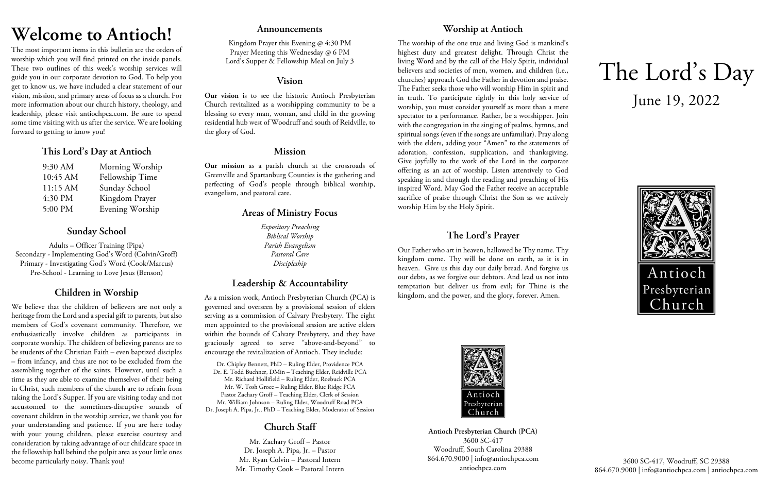# **Welcome to Antioch!**

The most important items in this bulletin are the orders of worship which you will find printed on the inside panels. These two outlines of this week's worship services will guide you in our corporate devotion to God. To help you get to know us, we have included a clear statement of our vision, mission, and primary areas of focus as a church. For more information about our church history, theology, and leadership, please visit antiochpca.com. Be sure to spend some time visiting with us after the service. We are looking forward to getting to know you!

## **This Lord's Day at Antioch**

| 9:30 AM  | Morning Worship |
|----------|-----------------|
| 10:45 AM | Fellowship Time |
| 11:15 AM | Sunday School   |
| 4:30 PM  | Kingdom Prayer  |
| 5:00 PM  | Evening Worship |

# **Sunday School**

Adults – Officer Training (Pipa) Secondary - Implementing God's Word (Colvin/Groff) Primary - Investigating God's Word (Cook/Marcus) Pre-School - Learning to Love Jesus (Benson)

# **Children in Worship**

We believe that the children of believers are not only a heritage from the Lord and a special gift to parents, but also members of God's covenant community. Therefore, we enthusiastically involve children as participants in corporate worship. The children of believing parents are to be students of the Christian Faith – even baptized disciples – from infancy, and thus are not to be excluded from the assembling together of the saints. However, until such a time as they are able to examine themselves of their being in Christ, such members of the church are to refrain from taking the Lord's Supper. If you are visiting today and not accustomed to the sometimes-disruptive sounds of covenant children in the worship service, we thank you for your understanding and patience. If you are here today with your young children, please exercise courtesy and consideration by taking advantage of our childcare space in the fellowship hall behind the pulpit area as your little ones become particularly noisy. Thank you!

### **Announcements**

Kingdom Prayer this Evening @ 4:30 PM Prayer Meeting this Wednesday @ 6 PM Lord's Supper & Fellowship Meal on July 3

### **Vision**

**Our vision** is to see the historic Antioch Presbyterian Church revitalized as a worshipping community to be a blessing to every man, woman, and child in the growing residential hub west of Woodruff and south of Reidville, to the glory of God.

## **Mission**

**Our mission** as a parish church at the crossroads of Greenville and Spartanburg Counties is the gathering and perfecting of God's people through biblical worship, evangelism, and pastoral care.

# **Areas of Ministry Focus**

*Expository Preaching Biblical Worship Parish Evangelism Pastoral Care Discipleship*

# **Leadership & Accountability**

As a mission work, Antioch Presbyterian Church (PCA) is governed and overseen by a provisional session of elders serving as a commission of Calvary Presbytery. The eight men appointed to the provisional session are active elders within the bounds of Calvary Presbytery, and they have graciously agreed to serve "above-and-beyond" to encourage the revitalization of Antioch. They include:

Dr. Chipley Bennett, PhD – Ruling Elder, Providence PCA Dr. E. Todd Buchner, DMin – Teaching Elder, Reidville PCA Mr. Richard Hollifield – Ruling Elder, Roebuck PCA Mr. W. Tosh Groce – Ruling Elder, Blue Ridge PCA Pastor Zachary Groff – Teaching Elder, Clerk of Session Mr. William Johnson – Ruling Elder, Woodruff Road PCA Dr. Joseph A. Pipa, Jr., PhD – Teaching Elder, Moderator of Session

# **Church Staff**

Mr. Zachary Groff – Pastor Dr. Joseph A. Pipa, Jr. – Pastor Mr. Ryan Colvin – Pastoral Intern Mr. Timothy Cook – Pastoral Intern

# **Worship at Antioch**

The worship of the one true and living God is mankind's highest duty and greatest delight. Through Christ the living Word and by the call of the Holy Spirit, individual believers and societies of men, women, and children (i.e., churches) approach God the Father in devotion and praise. The Father seeks those who will worship Him in spirit and in truth. To participate rightly in this holy service of worship, you must consider yourself as more than a mere spectator to a performance. Rather, be a worshipper. Join with the congregation in the singing of psalms, hymns, and spiritual songs (even if the songs are unfamiliar). Pray along with the elders, adding your "Amen" to the statements of adoration, confession, supplication, and thanksgiving. Give joyfully to the work of the Lord in the corporate offering as an act of worship. Listen attentively to God speaking in and through the reading and preaching of His inspired Word. May God the Father receive an acceptable sacrifice of praise through Christ the Son as we actively worship Him by the Holy Spirit.

# **The Lord's Prayer**

Our Father who art in heaven, hallowed be Thy name. Thy kingdom come. Thy will be done on earth, as it is in heaven. Give us this day our daily bread. And forgive us our debts, as we forgive our debtors. And lead us not into temptation but deliver us from evil; for Thine is the kingdom, and the power, and the glory, forever. Amen.



**Antioch Presbyterian Church (PCA)** 3600 SC-417 Woodruff, South Carolina 29388 864.670.9000 | info@antiochpca.com antiochpca.com

# The Lord's Day June 19, 2022



3600 SC-417, Woodruff, SC 29388 864.670.9000 | info@antiochpca.com | antiochpca.com